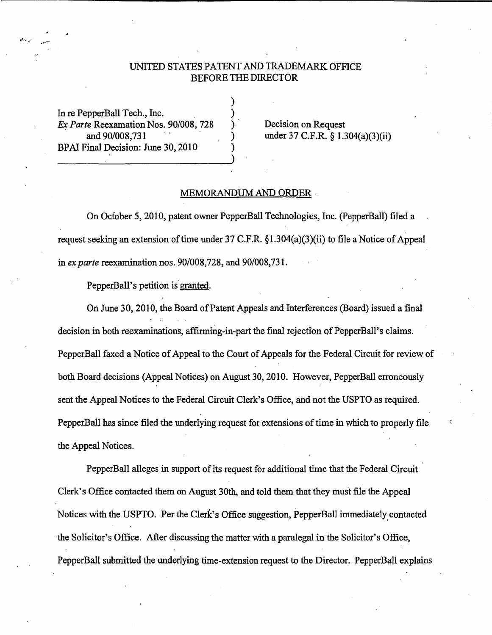## UNITED STATES PATENT AND TRADEMARK OFFICE BEFORE THE DIRECTOR

) ) ) ) )

In re PepperBall Tech., Inc. *Ex Parte* Reexamation Nos. 90/008, 728 and 90/008, 731 BP AI Final Decision: June 30, 2010

Decision on Request under 37 C.F.R. § 1.304(a)(3)(ii)

## MEMORANDUM AND ORDER .

On October 5, 2010, patent owner PepperBall Technologies, Inc. (PepperBall) filed a request seeking an extension of time under  $37$  C.F.R. §1.304(a)(3)(ii) to file a Notice of Appeal in *ex parte* reexamination nos. 90/008, 728, and 90/008, 731.

PepperBall's petition is granted.

On June 30, 2010, the Board of Patent Appeals and Interferences (Board) issued a final decision in both reexaminations, affirming-in-part the final rejection of PepperBall's claims. PepperBall faxed a Notice of Appeal to the Court of Appeals for the Federal Circuit for review of both Board decisions (Appeal Notices) on August 30, 2010. However, PepperBall erroneously sent the Appeal Notices to the Federal Circuit Clerk's Office, and not the USPTO as required. PepperBall has since filed the underlying request for extensions of time in which to properly file the Appeal Notices.

PepperBall alleges in support of its request for additional time that the Federal Circuit Clerk's Office contacted them on August 30th, and told them that they must file the Appeal Notices with the USPTO. Per the Clerk's Office suggestion, PepperBall immediately contacted ·the Solicitor's Office. After discussing the matter with a paralegal in the Solicitor's Office, PepperBall submitted the underlying time-extension request to the Director. PepperBall explains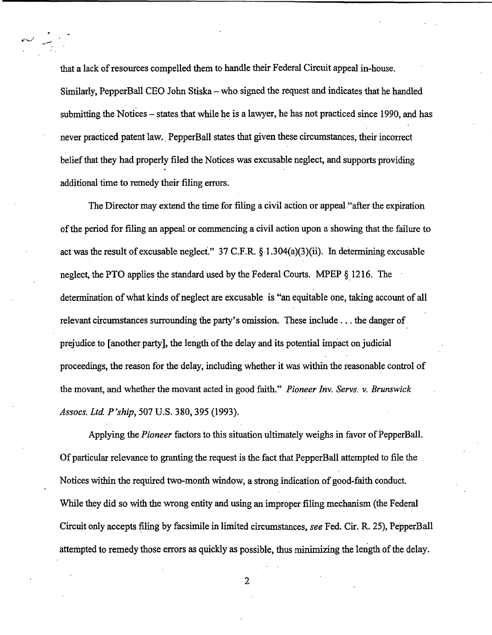that a lack of resources compelled them to handle their Federal Circuit appeal in-house. Similarly, PepperBall CEO John Stiska – who signed the request and indicates that he handled submitting the Notices - states that while he is a lawyer, he has not practiced since 1990, and has never practiced patent law. PepperBall states that given these circumstances, their incorrect belief that they had properly filed the Notices was excusable neglect, and supports providing additional time to remedy their filing errors.

The Director may extend the time for filing a civil action or appeal."after the expiration of the period for filing an appeal or commencing a civil action upon a showing that the failure to act was the result of excusable neglect." 37 C.F.R.  $\S$  1.304(a)(3)(ii). In determining excusable neglect, the PTO applies the standard used by the Federal Courts. MPEP § 1216. The determination of what kinds of neglect are excusable is "an equitable one, taking account of all relevant circumstances surrounding the party's omission. These include ... the danger of prejudice to [another party], the length of the delay and its potential impact on judicial proceedings, the reason for the delay, including whether it was within the reasonable control of the movant, and whether the movant acted in good faith." *Pioneer Inv. Servs. v. Brunswick Assocs. Ltd P'ship,* 507 U;S. 380,395 (1993).

Applying the *Pioneer* factors to this situation ultimately weighs in favor of PepperBall. Of particular relevance to granting the request is the fact that PepperBall attempted to file the Notices within the required two-month window, a strong indication of good-faith conduct. While they did so with the wrong entity and using an improper filing mechanism (the Federal Circuit only accepts filing by facsimile in limited circumstances, *see* Fed. Cir. R. 25), PepperBall attempted to remedy those errors as quickly as possible, thus minimizing the length of the delay.

2